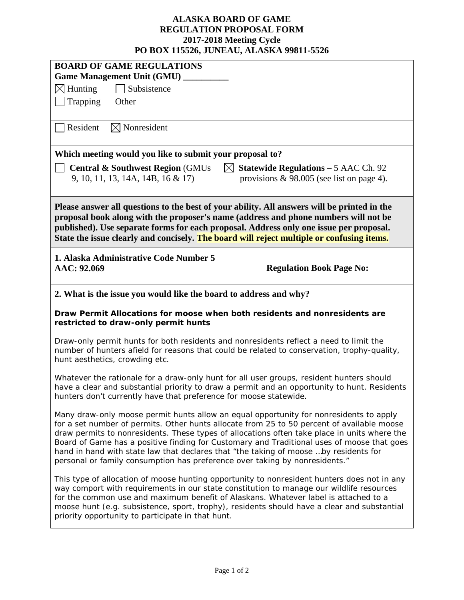## **ALASKA BOARD OF GAME REGULATION PROPOSAL FORM 2017-2018 Meeting Cycle PO BOX 115526, JUNEAU, ALASKA 99811-5526**

| I O DOA 115520, JUNEAU, ALABINA 77011-5520                                                                                                                                                                                                                                                                                                                                                                                                                                                                                                                |  |  |  |  |  |
|-----------------------------------------------------------------------------------------------------------------------------------------------------------------------------------------------------------------------------------------------------------------------------------------------------------------------------------------------------------------------------------------------------------------------------------------------------------------------------------------------------------------------------------------------------------|--|--|--|--|--|
| <b>BOARD OF GAME REGULATIONS</b>                                                                                                                                                                                                                                                                                                                                                                                                                                                                                                                          |  |  |  |  |  |
| <b>Game Management Unit (GMU)</b><br>Subsistence                                                                                                                                                                                                                                                                                                                                                                                                                                                                                                          |  |  |  |  |  |
| $\boxtimes$ Hunting                                                                                                                                                                                                                                                                                                                                                                                                                                                                                                                                       |  |  |  |  |  |
| Trapping<br>Other                                                                                                                                                                                                                                                                                                                                                                                                                                                                                                                                         |  |  |  |  |  |
| Resident<br>$\boxtimes$ Nonresident                                                                                                                                                                                                                                                                                                                                                                                                                                                                                                                       |  |  |  |  |  |
| Which meeting would you like to submit your proposal to?                                                                                                                                                                                                                                                                                                                                                                                                                                                                                                  |  |  |  |  |  |
| <b>Statewide Regulations - 5 AAC Ch. 92</b><br><b>Central &amp; Southwest Region (GMUs)</b><br>$\boxtimes$<br>9, 10, 11, 13, 14A, 14B, 16 & 17)<br>provisions $\&$ 98.005 (see list on page 4).                                                                                                                                                                                                                                                                                                                                                           |  |  |  |  |  |
| Please answer all questions to the best of your ability. All answers will be printed in the<br>proposal book along with the proposer's name (address and phone numbers will not be<br>published). Use separate forms for each proposal. Address only one issue per proposal.<br>State the issue clearly and concisely. The board will reject multiple or confusing items.                                                                                                                                                                                 |  |  |  |  |  |
| 1. Alaska Administrative Code Number 5<br>AAC: 92.069<br><b>Regulation Book Page No:</b>                                                                                                                                                                                                                                                                                                                                                                                                                                                                  |  |  |  |  |  |
| 2. What is the issue you would like the board to address and why?                                                                                                                                                                                                                                                                                                                                                                                                                                                                                         |  |  |  |  |  |
| Draw Permit Allocations for moose when both residents and nonresidents are<br>restricted to draw-only permit hunts                                                                                                                                                                                                                                                                                                                                                                                                                                        |  |  |  |  |  |
| Draw-only permit hunts for both residents and nonresidents reflect a need to limit the<br>number of hunters afield for reasons that could be related to conservation, trophy-quality,<br>hunt aesthetics, crowding etc.                                                                                                                                                                                                                                                                                                                                   |  |  |  |  |  |
| Whatever the rationale for a draw-only hunt for all user groups, resident hunters should<br>have a clear and substantial priority to draw a permit and an opportunity to hunt. Residents<br>hunters don't currently have that preference for moose statewide.                                                                                                                                                                                                                                                                                             |  |  |  |  |  |
| Many draw-only moose permit hunts allow an equal opportunity for nonresidents to apply<br>for a set number of permits. Other hunts allocate from 25 to 50 percent of available moose<br>draw permits to nonresidents. These types of allocations often take place in units where the<br>Board of Game has a positive finding for Customary and Traditional uses of moose that goes<br>hand in hand with state law that declares that "the taking of moose by residents for<br>personal or family consumption has preference over taking by nonresidents." |  |  |  |  |  |
| This type of allocation of moose hunting opportunity to nonresident hunters does not in any<br>way comport with requirements in our state constitution to manage our wildlife resources<br>for the common use and maximum benefit of Alaskans. Whatever label is attached to a<br>moose hunt (e.g. subsistence, sport, trophy), residents should have a clear and substantial<br>priority opportunity to participate in that hunt.                                                                                                                        |  |  |  |  |  |